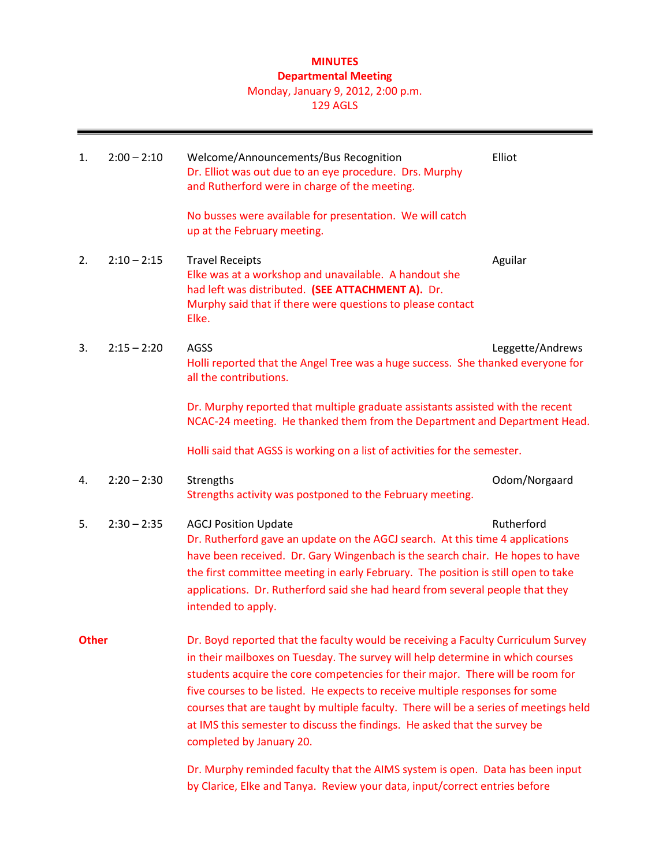# **MINUTES Departmental Meeting** Monday, January 9, 2012, 2:00 p.m.

### 129 AGLS

| 1.           | $2:00 - 2:10$ | Welcome/Announcements/Bus Recognition<br>Dr. Elliot was out due to an eye procedure. Drs. Murphy<br>and Rutherford were in charge of the meeting.                                                                                                                                                                                                                                                                                                                                                                                      | Elliot           |  |
|--------------|---------------|----------------------------------------------------------------------------------------------------------------------------------------------------------------------------------------------------------------------------------------------------------------------------------------------------------------------------------------------------------------------------------------------------------------------------------------------------------------------------------------------------------------------------------------|------------------|--|
|              |               | No busses were available for presentation. We will catch<br>up at the February meeting.                                                                                                                                                                                                                                                                                                                                                                                                                                                |                  |  |
| 2.           | $2:10 - 2:15$ | <b>Travel Receipts</b><br>Elke was at a workshop and unavailable. A handout she<br>had left was distributed. (SEE ATTACHMENT A). Dr.<br>Murphy said that if there were questions to please contact<br>Elke.                                                                                                                                                                                                                                                                                                                            | Aguilar          |  |
| 3.           | $2:15 - 2:20$ | AGSS<br>Holli reported that the Angel Tree was a huge success. She thanked everyone for<br>all the contributions.                                                                                                                                                                                                                                                                                                                                                                                                                      | Leggette/Andrews |  |
|              |               | Dr. Murphy reported that multiple graduate assistants assisted with the recent<br>NCAC-24 meeting. He thanked them from the Department and Department Head.                                                                                                                                                                                                                                                                                                                                                                            |                  |  |
|              |               | Holli said that AGSS is working on a list of activities for the semester.                                                                                                                                                                                                                                                                                                                                                                                                                                                              |                  |  |
| 4.           | $2:20 - 2:30$ | Strengths<br>Strengths activity was postponed to the February meeting.                                                                                                                                                                                                                                                                                                                                                                                                                                                                 | Odom/Norgaard    |  |
| 5.           | $2:30 - 2:35$ | <b>AGCJ Position Update</b><br>Dr. Rutherford gave an update on the AGCJ search. At this time 4 applications<br>have been received. Dr. Gary Wingenbach is the search chair. He hopes to have<br>the first committee meeting in early February. The position is still open to take<br>applications. Dr. Rutherford said she had heard from several people that they<br>intended to apply.                                                                                                                                              | Rutherford       |  |
| <b>Other</b> |               | Dr. Boyd reported that the faculty would be receiving a Faculty Curriculum Survey<br>in their mailboxes on Tuesday. The survey will help determine in which courses<br>students acquire the core competencies for their major. There will be room for<br>five courses to be listed. He expects to receive multiple responses for some<br>courses that are taught by multiple faculty. There will be a series of meetings held<br>at IMS this semester to discuss the findings. He asked that the survey be<br>completed by January 20. |                  |  |
|              |               | Dr. Murphy reminded faculty that the AIMS system is open. Data has been input                                                                                                                                                                                                                                                                                                                                                                                                                                                          |                  |  |

by Clarice, Elke and Tanya. Review your data, input/correct entries before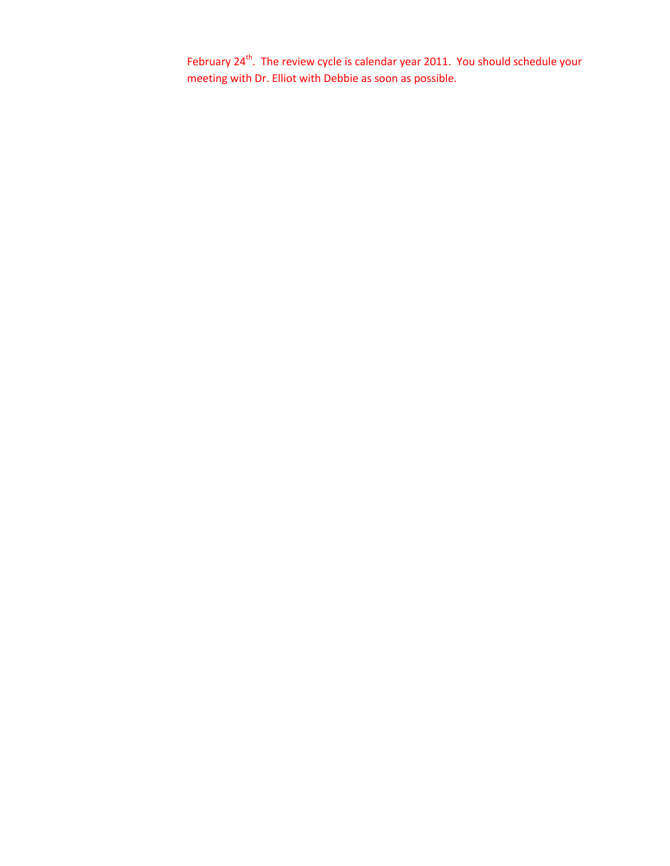February 24<sup>th</sup>. The review cycle is calendar year 2011. You should schedule your meeting with Dr. Elliot with Debbie as soon as possible.